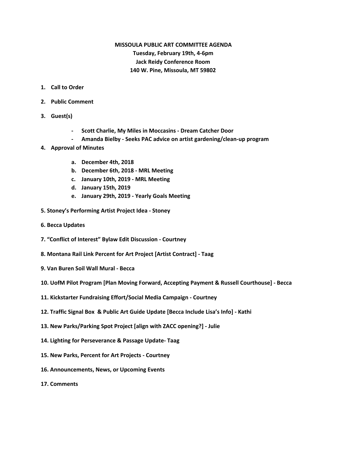# **MISSOULA PUBLIC ART COMMITTEE AGENDA Tuesday, February 19th, 4-6pm Jack Reidy Conference Room 140 W. Pine, Missoula, MT 59802**

- **1. Call to Order**
- **2. Public Comment**
- **3. Guest(s)**
	- **- Scott Charlie, My Miles in Moccasins - Dream Catcher Door**
	- **- Amanda Bielby - Seeks PAC advice on artist gardening/clean-up program**
- **4. Approval of Minutes**
	- **a. December 4th, 2018**
	- **b. December 6th, 2018 - MRL Meeting**
	- **c. January 10th, 2019 - MRL Meeting**
	- **d. January 15th, 2019**
	- **e. January 29th, 2019 - Yearly Goals Meeting**
- **5. Stoney's Performing Artist Project Idea - Stoney**
- **6. Becca Updates**
- **7. "Conflict of Interest" Bylaw Edit Discussion - Courtney**
- **8. Montana Rail Link Percent for Art Project [Artist Contract] - Taag**
- **9. Van Buren Soil Wall Mural - Becca**
- **10. UofM Pilot Program [Plan Moving Forward, Accepting Payment & Russell Courthouse] - Becca**
- **11. Kickstarter Fundraising Effort/Social Media Campaign - Courtney**
- **12. Traffic Signal Box & Public Art Guide Update [Becca Include Lisa's Info] - Kathi**
- **13. New Parks/Parking Spot Project [align with ZACC opening?] - Julie**
- **14. Lighting for Perseverance & Passage Update- Taag**
- **15. New Parks, Percent for Art Projects - Courtney**
- **16. Announcements, News, or Upcoming Events**
- **17. Comments**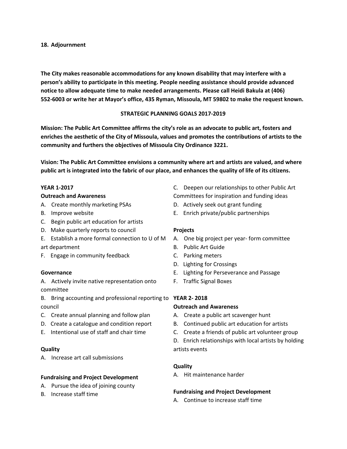### **18. Adjournment**

**The City makes reasonable accommodations for any known disability that may interfere with a person's ability to participate in this meeting. People needing assistance should provide advanced notice to allow adequate time to make needed arrangements. Please call Heidi Bakula at (406) 552-6003 or write her at Mayor's office, 435 Ryman, Missoula, MT 59802 to make the request known.**

## **STRATEGIC PLANNING GOALS 2017-2019**

**Mission: The Public Art Committee affirms the city's role as an advocate to public art, fosters and enriches the aesthetic of the City of Missoula, values and promotes the contributions of artists to the community and furthers the objectives of Missoula City Ordinance 3221.**

**Vision: The Public Art Committee envisions a community where art and artists are valued, and where** public art is integrated into the fabric of our place, and enhances the quality of life of its citizens.

### **YEAR 1-2017**

### **Outreach and Awareness**

- A. Create monthly marketing PSAs
- B. Improve website
- C. Begin public art education for artists
- D. Make quarterly reports to council
- E. Establish a more formal connection to U of M art department
- F. Engage in community feedback

### **Governance**

A. Actively invite native representation onto committee

- B. Bring accounting and professional reporting to **YEAR 2- 2018** council
- C. Create annual planning and follow plan
- D. Create a catalogue and condition report
- E. Intentional use of staff and chair time

### **Quality**

A. Increase art call submissions

### **Fundraising and Project Development**

- A. Pursue the idea of joining county
- B. Increase staff time
- C. Deepen our relationships to other Public Art Committees for inspiration and funding ideas
- D. Actively seek out grant funding
- E. Enrich private/public partnerships

### **Projects**

- A. One big project per year- form committee
- B. Public Art Guide
- C. Parking meters
- D. Lighting for Crossings
- E. Lighting for Perseverance and Passage
- F. Traffic Signal Boxes

### **Outreach and Awareness**

- A. Create a public art scavenger hunt
- B. Continued public art education for artists
- C. Create a friends of public art volunteer group

D. Enrich relationships with local artists by holding artists events

### **Quality**

A. Hit maintenance harder

### **Fundraising and Project Development**

A. Continue to increase staff time